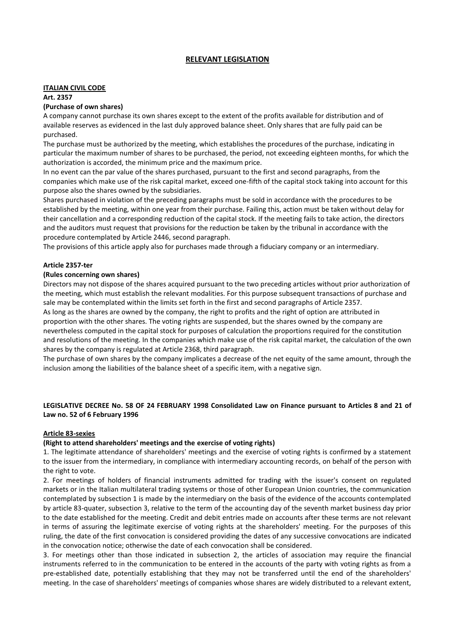# **RELEVANT LEGISLATION**

#### **ITALIAN CIVIL CODE**

## **Art. 2357**

### **(Purchase of own shares)**

A company cannot purchase its own shares except to the extent of the profits available for distribution and of available reserves as evidenced in the last duly approved balance sheet. Only shares that are fully paid can be purchased.

The purchase must be authorized by the meeting, which establishes the procedures of the purchase, indicating in particular the maximum number of shares to be purchased, the period, not exceeding eighteen months, for which the authorization is accorded, the minimum price and the maximum price.

In no event can the par value of the shares purchased, pursuant to the first and second paragraphs, from the companies which make use of the risk capital market, exceed one-fifth of the capital stock taking into account for this purpose also the shares owned by the subsidiaries.

Shares purchased in violation of the preceding paragraphs must be sold in accordance with the procedures to be established by the meeting, within one year from their purchase. Failing this, action must be taken without delay for their cancellation and a corresponding reduction of the capital stock. If the meeting fails to take action, the directors and the auditors must request that provisions for the reduction be taken by the tribunal in accordance with the procedure contemplated by Article 2446, second paragraph.

The provisions of this article apply also for purchases made through a fiduciary company or an intermediary.

## **Article 2357-ter**

### **(Rules concerning own shares)**

Directors may not dispose of the shares acquired pursuant to the two preceding articles without prior authorization of the meeting, which must establish the relevant modalities. For this purpose subsequent transactions of purchase and sale may be contemplated within the limits set forth in the first and second paragraphs of Article 2357.

As long as the shares are owned by the company, the right to profits and the right of option are attributed in proportion with the other shares. The voting rights are suspended, but the shares owned by the company are nevertheless computed in the capital stock for purposes of calculation the proportions required for the constitution and resolutions of the meeting. In the companies which make use of the risk capital market, the calculation of the own shares by the company is regulated at Article 2368, third paragraph.

The purchase of own shares by the company implicates a decrease of the net equity of the same amount, through the inclusion among the liabilities of the balance sheet of a specific item, with a negative sign.

# **LEGISLATIVE DECREE No. 58 OF 24 FEBRUARY 1998 Consolidated Law on Finance pursuant to Articles 8 and 21 of Law no. 52 of 6 February 1996**

## **Article 83-sexies**

## **(Right to attend shareholders' meetings and the exercise of voting rights)**

1. The legitimate attendance of shareholders' meetings and the exercise of voting rights is confirmed by a statement to the issuer from the intermediary, in compliance with intermediary accounting records, on behalf of the person with the right to vote.

2. For meetings of holders of financial instruments admitted for trading with the issuer's consent on regulated markets or in the Italian multilateral trading systems or those of other European Union countries, the communication contemplated by subsection 1 is made by the intermediary on the basis of the evidence of the accounts contemplated by article 83-quater, subsection 3, relative to the term of the accounting day of the seventh market business day prior to the date established for the meeting. Credit and debit entries made on accounts after these terms are not relevant in terms of assuring the legitimate exercise of voting rights at the shareholders' meeting. For the purposes of this ruling, the date of the first convocation is considered providing the dates of any successive convocations are indicated in the convocation notice; otherwise the date of each convocation shall be considered.

3. For meetings other than those indicated in subsection 2, the articles of association may require the financial instruments referred to in the communication to be entered in the accounts of the party with voting rights as from a pre-established date, potentially establishing that they may not be transferred until the end of the shareholders' meeting. In the case of shareholders' meetings of companies whose shares are widely distributed to a relevant extent,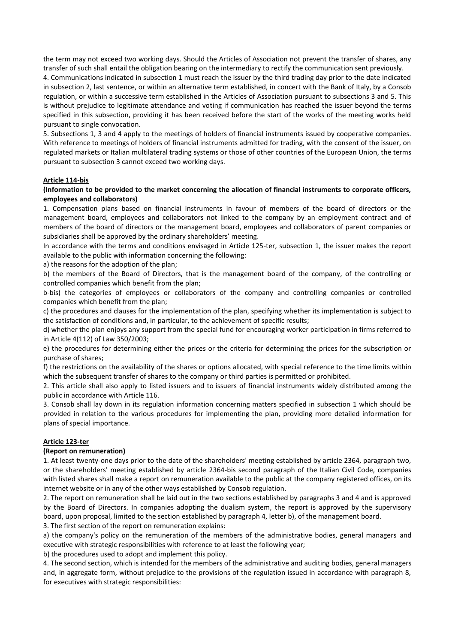the term may not exceed two working days. Should the Articles of Association not prevent the transfer of shares, any transfer of such shall entail the obligation bearing on the intermediary to rectify the communication sent previously.

4. Communications indicated in subsection 1 must reach the issuer by the third trading day prior to the date indicated in subsection 2, last sentence, or within an alternative term established, in concert with the Bank of Italy, by a Consob regulation, or within a successive term established in the Articles of Association pursuant to subsections 3 and 5. This is without prejudice to legitimate attendance and voting if communication has reached the issuer beyond the terms specified in this subsection, providing it has been received before the start of the works of the meeting works held pursuant to single convocation.

5. Subsections 1, 3 and 4 apply to the meetings of holders of financial instruments issued by cooperative companies. With reference to meetings of holders of financial instruments admitted for trading, with the consent of the issuer, on regulated markets or Italian multilateral trading systems or those of other countries of the European Union, the terms pursuant to subsection 3 cannot exceed two working days.

### **Article 114-bis**

## **(Information to be provided to the market concerning the allocation of financial instruments to corporate officers, employees and collaborators)**

1. Compensation plans based on financial instruments in favour of members of the board of directors or the management board, employees and collaborators not linked to the company by an employment contract and of members of the board of directors or the management board, employees and collaborators of parent companies or subsidiaries shall be approved by the ordinary shareholders' meeting.

In accordance with the terms and conditions envisaged in Article 125-ter, subsection 1, the issuer makes the report available to the public with information concerning the following:

a) the reasons for the adoption of the plan;

b) the members of the Board of Directors, that is the management board of the company, of the controlling or controlled companies which benefit from the plan;

b-bis) the categories of employees or collaborators of the company and controlling companies or controlled companies which benefit from the plan;

c) the procedures and clauses for the implementation of the plan, specifying whether its implementation is subject to the satisfaction of conditions and, in particular, to the achievement of specific results;

d) whether the plan enjoys any support from the special fund for encouraging worker participation in firms referred to in Article 4(112) of Law 350/2003;

e) the procedures for determining either the prices or the criteria for determining the prices for the subscription or purchase of shares;

f) the restrictions on the availability of the shares or options allocated, with special reference to the time limits within which the subsequent transfer of shares to the company or third parties is permitted or prohibited.

2. This article shall also apply to listed issuers and to issuers of financial instruments widely distributed among the public in accordance with Article 116.

3. Consob shall lay down in its regulation information concerning matters specified in subsection 1 which should be provided in relation to the various procedures for implementing the plan, providing more detailed information for plans of special importance.

#### **Article 123-ter**

#### **(Report on remuneration)**

1. At least twenty-one days prior to the date of the shareholders' meeting established by article 2364, paragraph two, or the shareholders' meeting established by article 2364-bis second paragraph of the Italian Civil Code, companies with listed shares shall make a report on remuneration available to the public at the company registered offices, on its internet website or in any of the other ways established by Consob regulation.

2. The report on remuneration shall be laid out in the two sections established by paragraphs 3 and 4 and is approved by the Board of Directors. In companies adopting the dualism system, the report is approved by the supervisory board, upon proposal, limited to the section established by paragraph 4, letter b), of the management board.

3. The first section of the report on remuneration explains:

a) the company's policy on the remuneration of the members of the administrative bodies, general managers and executive with strategic responsibilities with reference to at least the following year;

b) the procedures used to adopt and implement this policy.

4. The second section, which is intended for the members of the administrative and auditing bodies, general managers and, in aggregate form, without prejudice to the provisions of the regulation issued in accordance with paragraph 8, for executives with strategic responsibilities: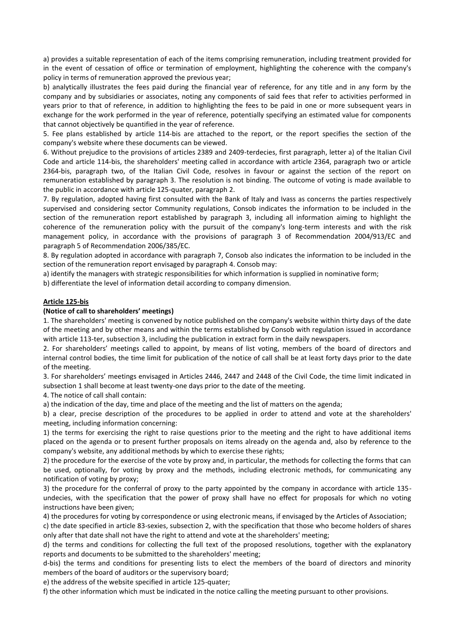a) provides a suitable representation of each of the items comprising remuneration, including treatment provided for in the event of cessation of office or termination of employment, highlighting the coherence with the company's policy in terms of remuneration approved the previous year;

b) analytically illustrates the fees paid during the financial year of reference, for any title and in any form by the company and by subsidiaries or associates, noting any components of said fees that refer to activities performed in years prior to that of reference, in addition to highlighting the fees to be paid in one or more subsequent years in exchange for the work performed in the year of reference, potentially specifying an estimated value for components that cannot objectively be quantified in the year of reference.

5. Fee plans established by article 114-bis are attached to the report, or the report specifies the section of the company's website where these documents can be viewed.

6. Without prejudice to the provisions of articles 2389 and 2409-terdecies, first paragraph, letter a) of the Italian Civil Code and article 114-bis, the shareholders' meeting called in accordance with article 2364, paragraph two or article 2364-bis, paragraph two, of the Italian Civil Code, resolves in favour or against the section of the report on remuneration established by paragraph 3. The resolution is not binding. The outcome of voting is made available to the public in accordance with article 125-quater, paragraph 2.

7. By regulation, adopted having first consulted with the Bank of Italy and Ivass as concerns the parties respectively supervised and considering sector Community regulations, Consob indicates the information to be included in the section of the remuneration report established by paragraph 3, including all information aiming to highlight the coherence of the remuneration policy with the pursuit of the company's long-term interests and with the risk management policy, in accordance with the provisions of paragraph 3 of Recommendation 2004/913/EC and paragraph 5 of Recommendation 2006/385/EC.

8. By regulation adopted in accordance with paragraph 7, Consob also indicates the information to be included in the section of the remuneration report envisaged by paragraph 4. Consob may:

a) identify the managers with strategic responsibilities for which information is supplied in nominative form;

b) differentiate the level of information detail according to company dimension.

## **Article 125-bis**

### **(Notice of call to shareholders' meetings)**

1. The shareholders' meeting is convened by notice published on the company's website within thirty days of the date of the meeting and by other means and within the terms established by Consob with regulation issued in accordance with article 113-ter, subsection 3, including the publication in extract form in the daily newspapers.

2. For shareholders' meetings called to appoint, by means of list voting, members of the board of directors and internal control bodies, the time limit for publication of the notice of call shall be at least forty days prior to the date of the meeting.

3. For shareholders' meetings envisaged in Articles 2446, 2447 and 2448 of the Civil Code, the time limit indicated in subsection 1 shall become at least twenty-one days prior to the date of the meeting.

4. The notice of call shall contain:

a) the indication of the day, time and place of the meeting and the list of matters on the agenda;

b) a clear, precise description of the procedures to be applied in order to attend and vote at the shareholders' meeting, including information concerning:

1) the terms for exercising the right to raise questions prior to the meeting and the right to have additional items placed on the agenda or to present further proposals on items already on the agenda and, also by reference to the company's website, any additional methods by which to exercise these rights;

2) the procedure for the exercise of the vote by proxy and, in particular, the methods for collecting the forms that can be used, optionally, for voting by proxy and the methods, including electronic methods, for communicating any notification of voting by proxy;

3) the procedure for the conferral of proxy to the party appointed by the company in accordance with article 135 undecies, with the specification that the power of proxy shall have no effect for proposals for which no voting instructions have been given;

4) the procedures for voting by correspondence or using electronic means, if envisaged by the Articles of Association;

c) the date specified in article 83-sexies, subsection 2, with the specification that those who become holders of shares only after that date shall not have the right to attend and vote at the shareholders' meeting;

d) the terms and conditions for collecting the full text of the proposed resolutions, together with the explanatory reports and documents to be submitted to the shareholders' meeting;

d-bis) the terms and conditions for presenting lists to elect the members of the board of directors and minority members of the board of auditors or the supervisory board;

e) the address of the website specified in article 125-quater;

f) the other information which must be indicated in the notice calling the meeting pursuant to other provisions.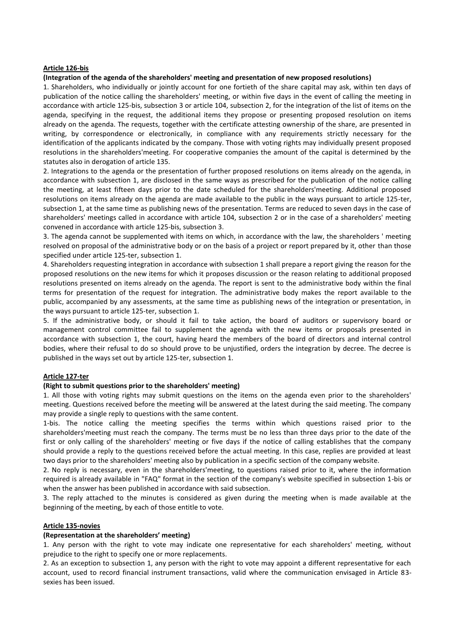### **Article 126-bis**

#### **(Integration of the agenda of the shareholders' meeting and presentation of new proposed resolutions)**

1. Shareholders, who individually or jointly account for one fortieth of the share capital may ask, within ten days of publication of the notice calling the shareholders' meeting, or within five days in the event of calling the meeting in accordance with article 125-bis, subsection 3 or article 104, subsection 2, for the integration of the list of items on the agenda, specifying in the request, the additional items they propose or presenting proposed resolution on items already on the agenda. The requests, together with the certificate attesting ownership of the share, are presented in writing, by correspondence or electronically, in compliance with any requirements strictly necessary for the identification of the applicants indicated by the company. Those with voting rights may individually present proposed resolutions in the shareholders'meeting. For cooperative companies the amount of the capital is determined by the statutes also in derogation of article 135.

2. Integrations to the agenda or the presentation of further proposed resolutions on items already on the agenda, in accordance with subsection 1, are disclosed in the same ways as prescribed for the publication of the notice calling the meeting, at least fifteen days prior to the date scheduled for the shareholders'meeting. Additional proposed resolutions on items already on the agenda are made available to the public in the ways pursuant to article 125-ter, subsection 1, at the same time as publishing news of the presentation. Terms are reduced to seven days in the case of shareholders' meetings called in accordance with article 104, subsection 2 or in the case of a shareholders' meeting convened in accordance with article 125-bis, subsection 3.

3. The agenda cannot be supplemented with items on which, in accordance with the law, the shareholders ' meeting resolved on proposal of the administrative body or on the basis of a project or report prepared by it, other than those specified under article 125-ter, subsection 1.

4. Shareholders requesting integration in accordance with subsection 1 shall prepare a report giving the reason for the proposed resolutions on the new items for which it proposes discussion or the reason relating to additional proposed resolutions presented on items already on the agenda. The report is sent to the administrative body within the final terms for presentation of the request for integration. The administrative body makes the report available to the public, accompanied by any assessments, at the same time as publishing news of the integration or presentation, in the ways pursuant to article 125-ter, subsection 1.

5. If the administrative body, or should it fail to take action, the board of auditors or supervisory board or management control committee fail to supplement the agenda with the new items or proposals presented in accordance with subsection 1, the court, having heard the members of the board of directors and internal control bodies, where their refusal to do so should prove to be unjustified, orders the integration by decree. The decree is published in the ways set out by article 125-ter, subsection 1.

#### **Article 127-ter**

#### **(Right to submit questions prior to the shareholders' meeting)**

1. All those with voting rights may submit questions on the items on the agenda even prior to the shareholders' meeting. Questions received before the meeting will be answered at the latest during the said meeting. The company may provide a single reply to questions with the same content.

1-bis. The notice calling the meeting specifies the terms within which questions raised prior to the shareholders'meeting must reach the company. The terms must be no less than three days prior to the date of the first or only calling of the shareholders' meeting or five days if the notice of calling establishes that the company should provide a reply to the questions received before the actual meeting. In this case, replies are provided at least two days prior to the shareholders' meeting also by publication in a specific section of the company website.

2. No reply is necessary, even in the shareholders'meeting, to questions raised prior to it, where the information required is already available in "FAQ" format in the section of the company's website specified in subsection 1-bis or when the answer has been published in accordance with said subsection.

3. The reply attached to the minutes is considered as given during the meeting when is made available at the beginning of the meeting, by each of those entitle to vote.

#### **Article 135-novies**

#### **(Representation at the shareholders' meeting)**

1. Any person with the right to vote may indicate one representative for each shareholders' meeting, without prejudice to the right to specify one or more replacements.

2. As an exception to subsection 1, any person with the right to vote may appoint a different representative for each account, used to record financial instrument transactions, valid where the communication envisaged in Article 83 sexies has been issued.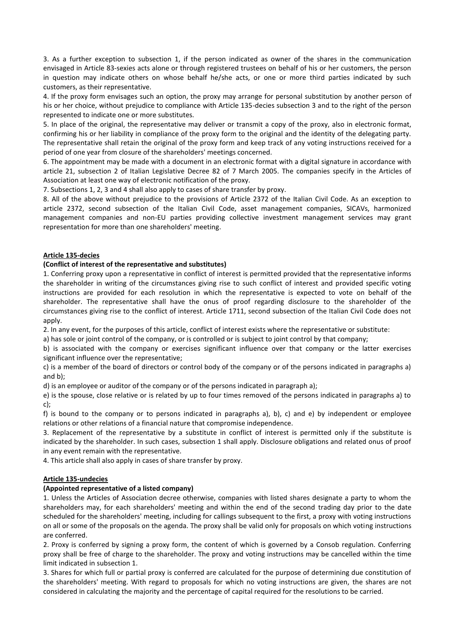3. As a further exception to subsection 1, if the person indicated as owner of the shares in the communication envisaged in Article 83-sexies acts alone or through registered trustees on behalf of his or her customers, the person in question may indicate others on whose behalf he/she acts, or one or more third parties indicated by such customers, as their representative.

4. If the proxy form envisages such an option, the proxy may arrange for personal substitution by another person of his or her choice, without prejudice to compliance with Article 135-decies subsection 3 and to the right of the person represented to indicate one or more substitutes.

5. In place of the original, the representative may deliver or transmit a copy of the proxy, also in electronic format, confirming his or her liability in compliance of the proxy form to the original and the identity of the delegating party. The representative shall retain the original of the proxy form and keep track of any voting instructions received for a period of one year from closure of the shareholders' meetings concerned.

6. The appointment may be made with a document in an electronic format with a digital signature in accordance with article 21, subsection 2 of Italian Legislative Decree 82 of 7 March 2005. The companies specify in the Articles of Association at least one way of electronic notification of the proxy.

7. Subsections 1, 2, 3 and 4 shall also apply to cases of share transfer by proxy.

8. All of the above without prejudice to the provisions of Article 2372 of the Italian Civil Code. As an exception to article 2372, second subsection of the Italian Civil Code, asset management companies, SICAVs, harmonized management companies and non-EU parties providing collective investment management services may grant representation for more than one shareholders' meeting.

# **Article 135-decies**

# **(Conflict of interest of the representative and substitutes)**

1. Conferring proxy upon a representative in conflict of interest is permitted provided that the representative informs the shareholder in writing of the circumstances giving rise to such conflict of interest and provided specific voting instructions are provided for each resolution in which the representative is expected to vote on behalf of the shareholder. The representative shall have the onus of proof regarding disclosure to the shareholder of the circumstances giving rise to the conflict of interest. Article 1711, second subsection of the Italian Civil Code does not apply.

2. In any event, for the purposes of this article, conflict of interest exists where the representative or substitute:

a) has sole or joint control of the company, or is controlled or is subject to joint control by that company;

b) is associated with the company or exercises significant influence over that company or the latter exercises significant influence over the representative;

c) is a member of the board of directors or control body of the company or of the persons indicated in paragraphs a) and b);

d) is an employee or auditor of the company or of the persons indicated in paragraph a);

e) is the spouse, close relative or is related by up to four times removed of the persons indicated in paragraphs a) to c);

f) is bound to the company or to persons indicated in paragraphs a), b), c) and e) by independent or employee relations or other relations of a financial nature that compromise independence.

3. Replacement of the representative by a substitute in conflict of interest is permitted only if the substitute is indicated by the shareholder. In such cases, subsection 1 shall apply. Disclosure obligations and related onus of proof in any event remain with the representative.

4. This article shall also apply in cases of share transfer by proxy.

## **Article 135-undecies**

# **(Appointed representative of a listed company)**

1. Unless the Articles of Association decree otherwise, companies with listed shares designate a party to whom the shareholders may, for each shareholders' meeting and within the end of the second trading day prior to the date scheduled for the shareholders' meeting, including for callings subsequent to the first, a proxy with voting instructions on all or some of the proposals on the agenda. The proxy shall be valid only for proposals on which voting instructions are conferred.

2. Proxy is conferred by signing a proxy form, the content of which is governed by a Consob regulation. Conferring proxy shall be free of charge to the shareholder. The proxy and voting instructions may be cancelled within the time limit indicated in subsection 1.

3. Shares for which full or partial proxy is conferred are calculated for the purpose of determining due constitution of the shareholders' meeting. With regard to proposals for which no voting instructions are given, the shares are not considered in calculating the majority and the percentage of capital required for the resolutions to be carried.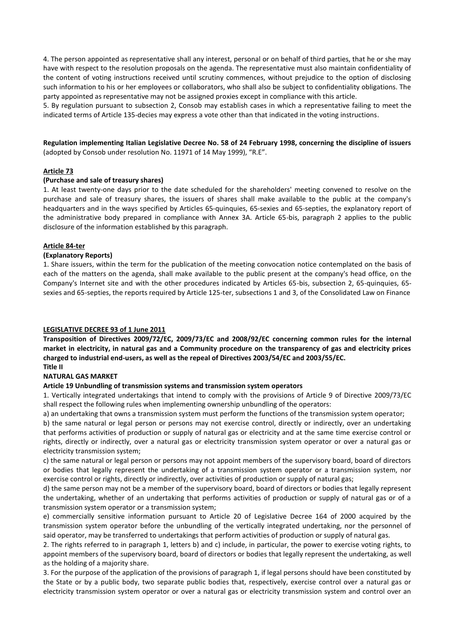4. The person appointed as representative shall any interest, personal or on behalf of third parties, that he or she may have with respect to the resolution proposals on the agenda. The representative must also maintain confidentiality of the content of voting instructions received until scrutiny commences, without prejudice to the option of disclosing such information to his or her employees or collaborators, who shall also be subject to confidentiality obligations. The party appointed as representative may not be assigned proxies except in compliance with this article.

5. By regulation pursuant to subsection 2, Consob may establish cases in which a representative failing to meet the indicated terms of Article 135-decies may express a vote other than that indicated in the voting instructions.

**Regulation implementing Italian Legislative Decree No. 58 of 24 February 1998, concerning the discipline of issuers**  (adopted by Consob under resolution No. 11971 of 14 May 1999), "R.E".

## **Article 73**

### **(Purchase and sale of treasury shares)**

1. At least twenty-one days prior to the date scheduled for the shareholders' meeting convened to resolve on the purchase and sale of treasury shares, the issuers of shares shall make available to the public at the company's headquarters and in the ways specified by Articles 65-quinquies, 65-sexies and 65-septies, the explanatory report of the administrative body prepared in compliance with Annex 3A. Article 65-bis, paragraph 2 applies to the public disclosure of the information established by this paragraph.

### **Article 84-ter**

### **(Explanatory Reports)**

1. Share issuers, within the term for the publication of the meeting convocation notice contemplated on the basis of each of the matters on the agenda, shall make available to the public present at the company's head office, on the Company's Internet site and with the other procedures indicated by Articles 65-bis, subsection 2, 65-quinquies, 65 sexies and 65-septies, the reports required by Article 125-ter, subsections 1 and 3, of the Consolidated Law on Finance

#### **LEGISLATIVE DECREE 93 of 1 June 2011**

**Transposition of Directives 2009/72/EC, 2009/73/EC and 2008/92/EC concerning common rules for the internal market in electricity, in natural gas and a Community procedure on the transparency of gas and electricity prices charged to industrial end-users, as well as the repeal of Directives 2003/54/EC and 2003/55/EC. Title II**

# **NATURAL GAS MARKET**

#### **Article 19 Unbundling of transmission systems and transmission system operators**

1. Vertically integrated undertakings that intend to comply with the provisions of Article 9 of Directive 2009/73/EC shall respect the following rules when implementing ownership unbundling of the operators:

a) an undertaking that owns a transmission system must perform the functions of the transmission system operator;

b) the same natural or legal person or persons may not exercise control, directly or indirectly, over an undertaking that performs activities of production or supply of natural gas or electricity and at the same time exercise control or rights, directly or indirectly, over a natural gas or electricity transmission system operator or over a natural gas or electricity transmission system;

c) the same natural or legal person or persons may not appoint members of the supervisory board, board of directors or bodies that legally represent the undertaking of a transmission system operator or a transmission system, nor exercise control or rights, directly or indirectly, over activities of production or supply of natural gas;

d) the same person may not be a member of the supervisory board, board of directors or bodies that legally represent the undertaking, whether of an undertaking that performs activities of production or supply of natural gas or of a transmission system operator or a transmission system;

e) commercially sensitive information pursuant to Article 20 of Legislative Decree 164 of 2000 acquired by the transmission system operator before the unbundling of the vertically integrated undertaking, nor the personnel of said operator, may be transferred to undertakings that perform activities of production or supply of natural gas.

2. The rights referred to in paragraph 1, letters b) and c) include, in particular, the power to exercise voting rights, to appoint members of the supervisory board, board of directors or bodies that legally represent the undertaking, as well as the holding of a majority share.

3. For the purpose of the application of the provisions of paragraph 1, if legal persons should have been constituted by the State or by a public body, two separate public bodies that, respectively, exercise control over a natural gas or electricity transmission system operator or over a natural gas or electricity transmission system and control over an